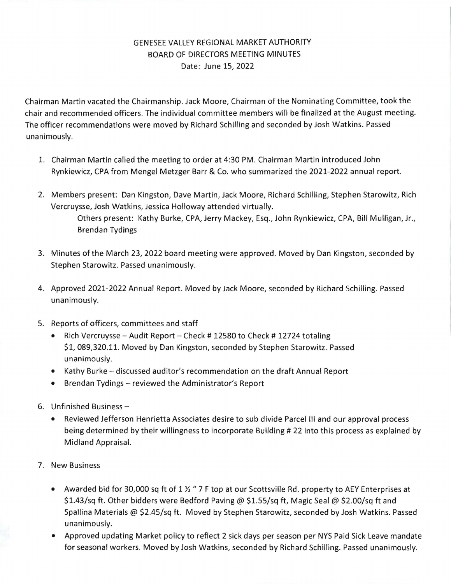## GENESEE VALLEY REGIONAL MARKET AUTHORITY BOARD OF DIRECTORS MEETING MINUTES Date: June 15, 2022

Chairman Martin vacated the Chairmanship. Jack Moore, Chairman of the Nominating Committee, took the chair and recommended officers. The individual committee members will be finalized at the August meeting. 1he officer recommendations were moved by Richard Schilling and seconded by Josh Watkins . Passed unanimously.

- 1. Chairman Martin called the meeting to order at 4:30 PM. Chairman Martin introduced John Rynkiewicz, CPA from Mengel Metzger Barr & Co. who summarized the 2021-2022 annual report.
- 2. Members present: Dan Kingston, Dave Martin, Jack Moore, Richard Schilling, Stephen Starowitz, Rich Vercruysse, Josh Watkins, Jessica Holloway attended virtually. Others present: Kathy Burke, CPA, Jerry Mackey, Esq., John Rynkiewicz, CPA, Bill Mulligan, Jr., Brendan Tydings
- 3. Minutes of the March 23, 2022 board meeting were approved. Moved by Dan Kingston, seconded by Stephen Starowitz. Passed unanimously.
- 4. Approved 2021-2022 Annual Report. Moved by Jack Moore, seconded by Richard Schilling. Passed unanimously.
- 5. Reports of officers, committees and staff
	- Rich Vercruysse Audit Report Check # 12580 to Check # 12724 totaling \$1,089,320.11. Moved by Dan Kingston, seconded by Stephen Starowitz. Passed unanimously.
	- Kathy Burke discussed auditor's recommendation on the draft Annual Report
	- Brendan Tydings reviewed the Administrator's Report
- 6. Unfinished Business  $-$ 
	- Reviewed Jefferson Henrietta Associates desire to sub divide Parcel III and our approval process being determined by their willingness to incorporate Building # 22 into this process as explained by Midland Appraisal.
- 7. New Business
	- Awarded bid for 30,000 sq ft of 1  $\frac{1}{2}$  " 7 F top at our Scottsville Rd. property to AEY Enterprises at \$1.43/sq ft. Other bidders were Bedford Paving @ \$1.55/sq ft, Magic Seal @ \$2.00/sq ft and Spallina Materials @ \$2.45/sq ft. Moved by Stephen Starowitz, seconded by Josh Watkins. Passed unanimously.
	- Approved updating Market policy to reflect 2 sick days per season per NYS Paid Sick Leave mandate for seasonal workers. Moved by Josh Watkins, seconded by Richard Schilling. Passed unanimously.